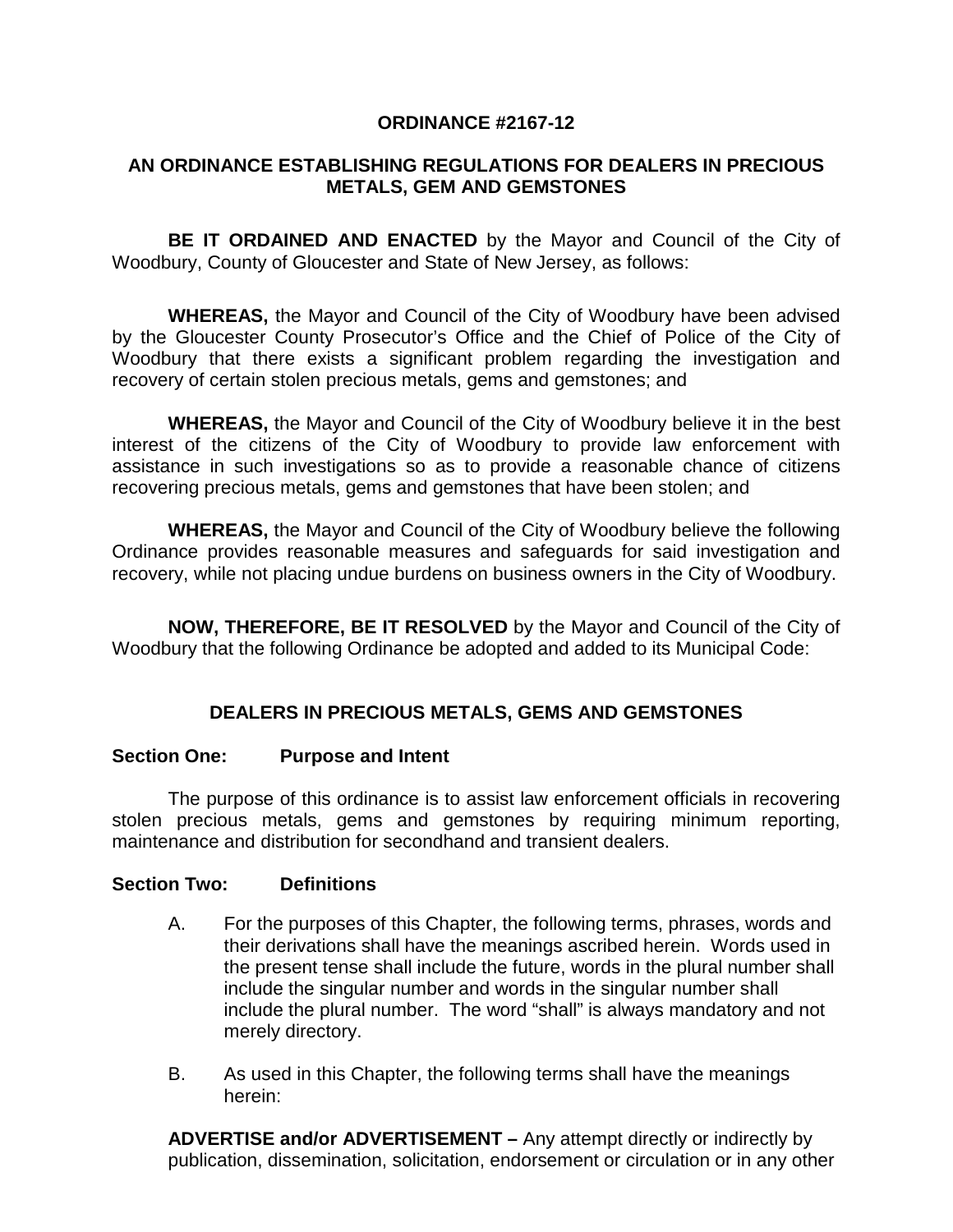# **ORDINANCE #2167-12**

# **AN ORDINANCE ESTABLISHING REGULATIONS FOR DEALERS IN PRECIOUS METALS, GEM AND GEMSTONES**

**BE IT ORDAINED AND ENACTED** by the Mayor and Council of the City of Woodbury, County of Gloucester and State of New Jersey, as follows:

**WHEREAS,** the Mayor and Council of the City of Woodbury have been advised by the Gloucester County Prosecutor's Office and the Chief of Police of the City of Woodbury that there exists a significant problem regarding the investigation and recovery of certain stolen precious metals, gems and gemstones; and

**WHEREAS,** the Mayor and Council of the City of Woodbury believe it in the best interest of the citizens of the City of Woodbury to provide law enforcement with assistance in such investigations so as to provide a reasonable chance of citizens recovering precious metals, gems and gemstones that have been stolen; and

**WHEREAS,** the Mayor and Council of the City of Woodbury believe the following Ordinance provides reasonable measures and safeguards for said investigation and recovery, while not placing undue burdens on business owners in the City of Woodbury.

**NOW, THEREFORE, BE IT RESOLVED** by the Mayor and Council of the City of Woodbury that the following Ordinance be adopted and added to its Municipal Code:

# **DEALERS IN PRECIOUS METALS, GEMS AND GEMSTONES**

### **Section One: Purpose and Intent**

The purpose of this ordinance is to assist law enforcement officials in recovering stolen precious metals, gems and gemstones by requiring minimum reporting, maintenance and distribution for secondhand and transient dealers.

### **Section Two: Definitions**

- A. For the purposes of this Chapter, the following terms, phrases, words and their derivations shall have the meanings ascribed herein. Words used in the present tense shall include the future, words in the plural number shall include the singular number and words in the singular number shall include the plural number. The word "shall" is always mandatory and not merely directory.
- B. As used in this Chapter, the following terms shall have the meanings herein:

**ADVERTISE and/or ADVERTISEMENT –** Any attempt directly or indirectly by publication, dissemination, solicitation, endorsement or circulation or in any other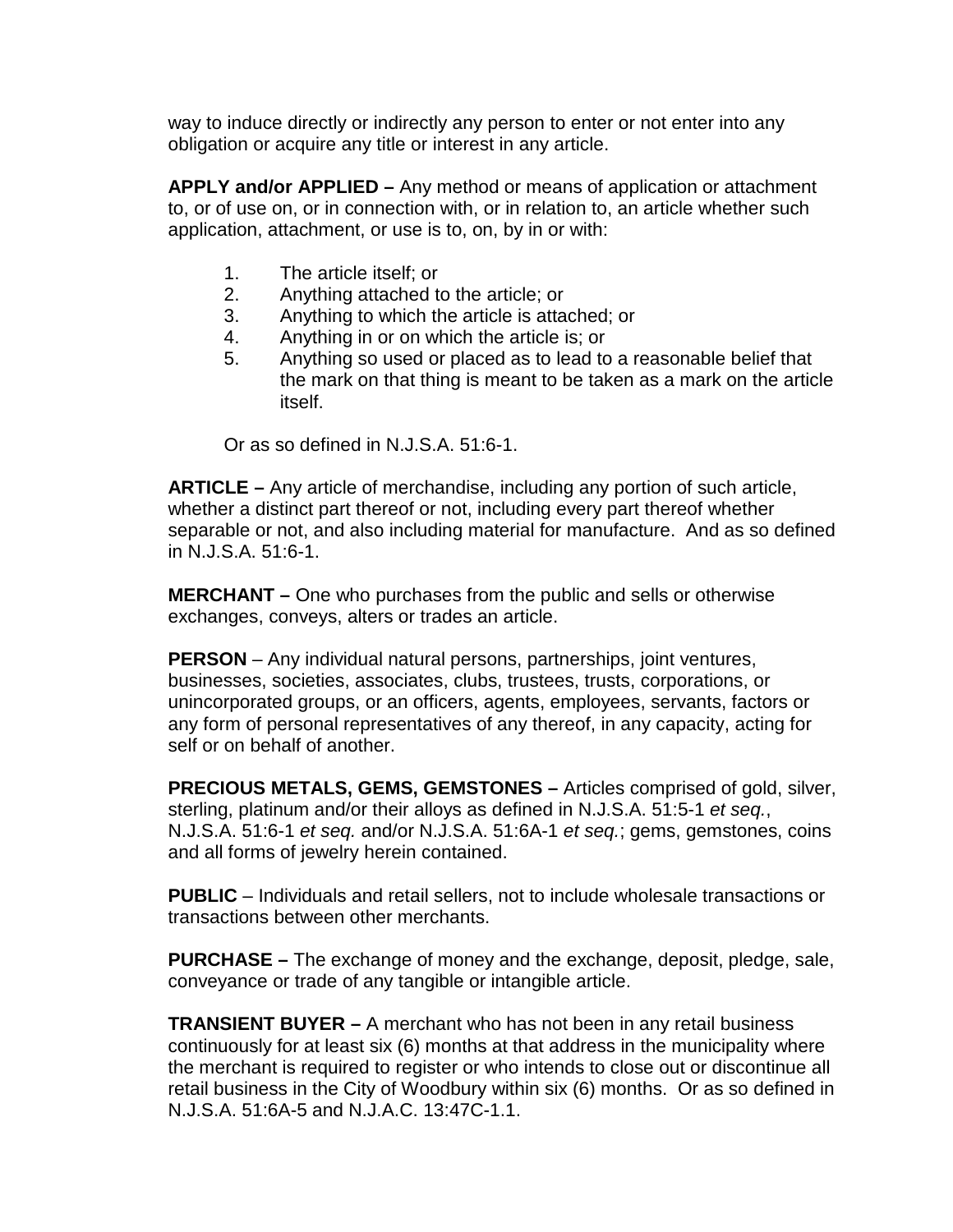way to induce directly or indirectly any person to enter or not enter into any obligation or acquire any title or interest in any article.

**APPLY and/or APPLIED –** Any method or means of application or attachment to, or of use on, or in connection with, or in relation to, an article whether such application, attachment, or use is to, on, by in or with:

- 1. The article itself; or
- 2. Anything attached to the article; or
- 3. Anything to which the article is attached; or
- 4. Anything in or on which the article is; or
- 5. Anything so used or placed as to lead to a reasonable belief that the mark on that thing is meant to be taken as a mark on the article itself.

Or as so defined in N.J.S.A. 51:6-1.

**ARTICLE –** Any article of merchandise, including any portion of such article, whether a distinct part thereof or not, including every part thereof whether separable or not, and also including material for manufacture. And as so defined in N.J.S.A. 51:6-1.

**MERCHANT –** One who purchases from the public and sells or otherwise exchanges, conveys, alters or trades an article.

**PERSON** – Any individual natural persons, partnerships, joint ventures, businesses, societies, associates, clubs, trustees, trusts, corporations, or unincorporated groups, or an officers, agents, employees, servants, factors or any form of personal representatives of any thereof, in any capacity, acting for self or on behalf of another.

**PRECIOUS METALS, GEMS, GEMSTONES –** Articles comprised of gold, silver, sterling, platinum and/or their alloys as defined in N.J.S.A. 51:5-1 *et seq.*, N.J.S.A. 51:6-1 *et seq.* and/or N.J.S.A. 51:6A-1 *et seq.*; gems, gemstones, coins and all forms of jewelry herein contained.

**PUBLIC** – Individuals and retail sellers, not to include wholesale transactions or transactions between other merchants.

**PURCHASE –** The exchange of money and the exchange, deposit, pledge, sale, conveyance or trade of any tangible or intangible article.

**TRANSIENT BUYER –** A merchant who has not been in any retail business continuously for at least six (6) months at that address in the municipality where the merchant is required to register or who intends to close out or discontinue all retail business in the City of Woodbury within six (6) months. Or as so defined in N.J.S.A. 51:6A-5 and N.J.A.C. 13:47C-1.1.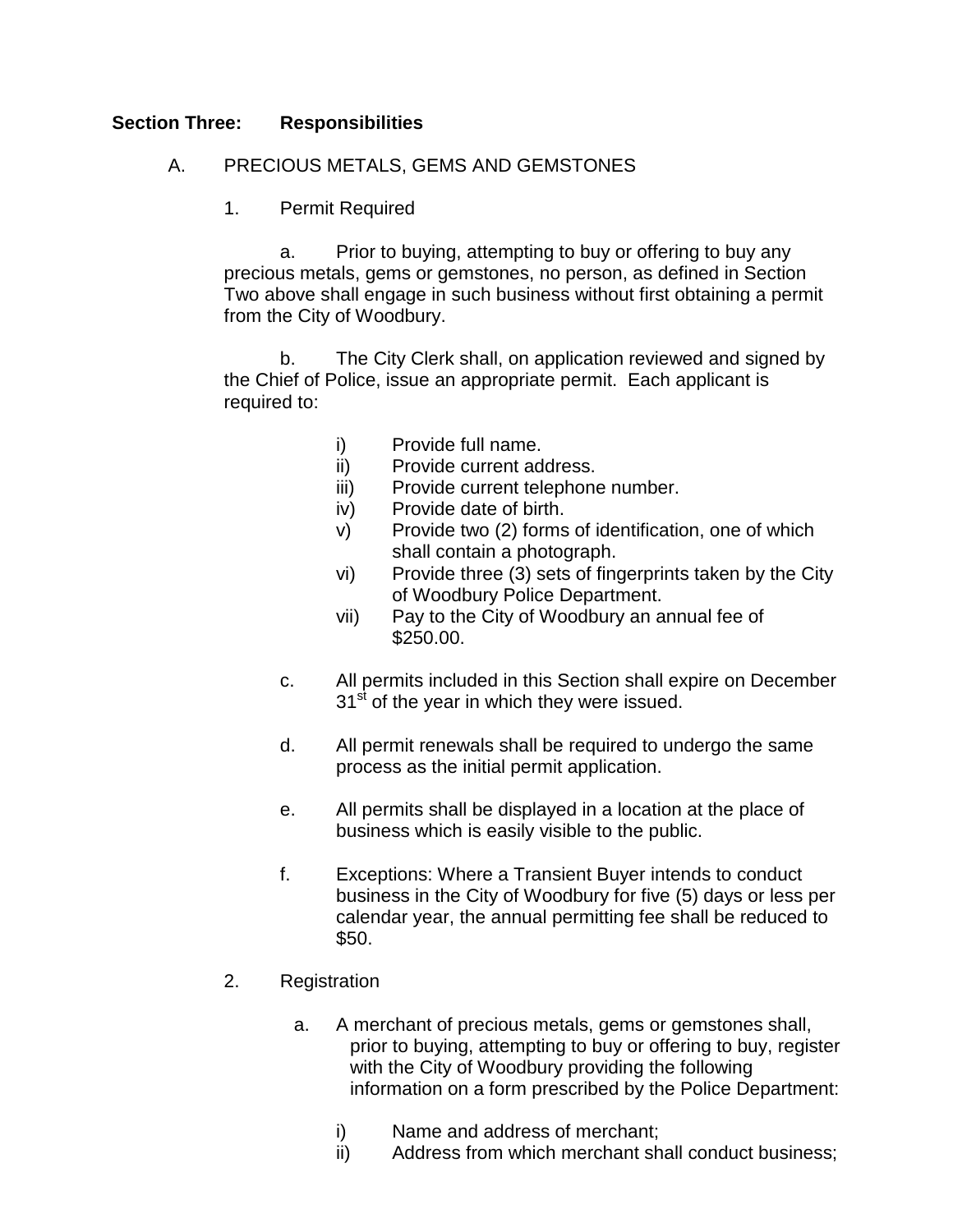## **Section Three: Responsibilities**

## A. PRECIOUS METALS, GEMS AND GEMSTONES

1. Permit Required

a. Prior to buying, attempting to buy or offering to buy any precious metals, gems or gemstones, no person, as defined in Section Two above shall engage in such business without first obtaining a permit from the City of Woodbury.

b. The City Clerk shall, on application reviewed and signed by the Chief of Police, issue an appropriate permit. Each applicant is required to:

- i) Provide full name.
- ii) Provide current address.
- iii) Provide current telephone number.
- iv) Provide date of birth.
- v) Provide two (2) forms of identification, one of which shall contain a photograph.
- vi) Provide three (3) sets of fingerprints taken by the City of Woodbury Police Department.
- vii) Pay to the City of Woodbury an annual fee of \$250.00.
- c. All permits included in this Section shall expire on December  $31<sup>st</sup>$  of the year in which they were issued.
- d. All permit renewals shall be required to undergo the same process as the initial permit application.
- e. All permits shall be displayed in a location at the place of business which is easily visible to the public.
- f. Exceptions: Where a Transient Buyer intends to conduct business in the City of Woodbury for five (5) days or less per calendar year, the annual permitting fee shall be reduced to \$50.
- 2. Registration
	- a. A merchant of precious metals, gems or gemstones shall, prior to buying, attempting to buy or offering to buy, register with the City of Woodbury providing the following information on a form prescribed by the Police Department:
		- i) Name and address of merchant;
		- ii) Address from which merchant shall conduct business;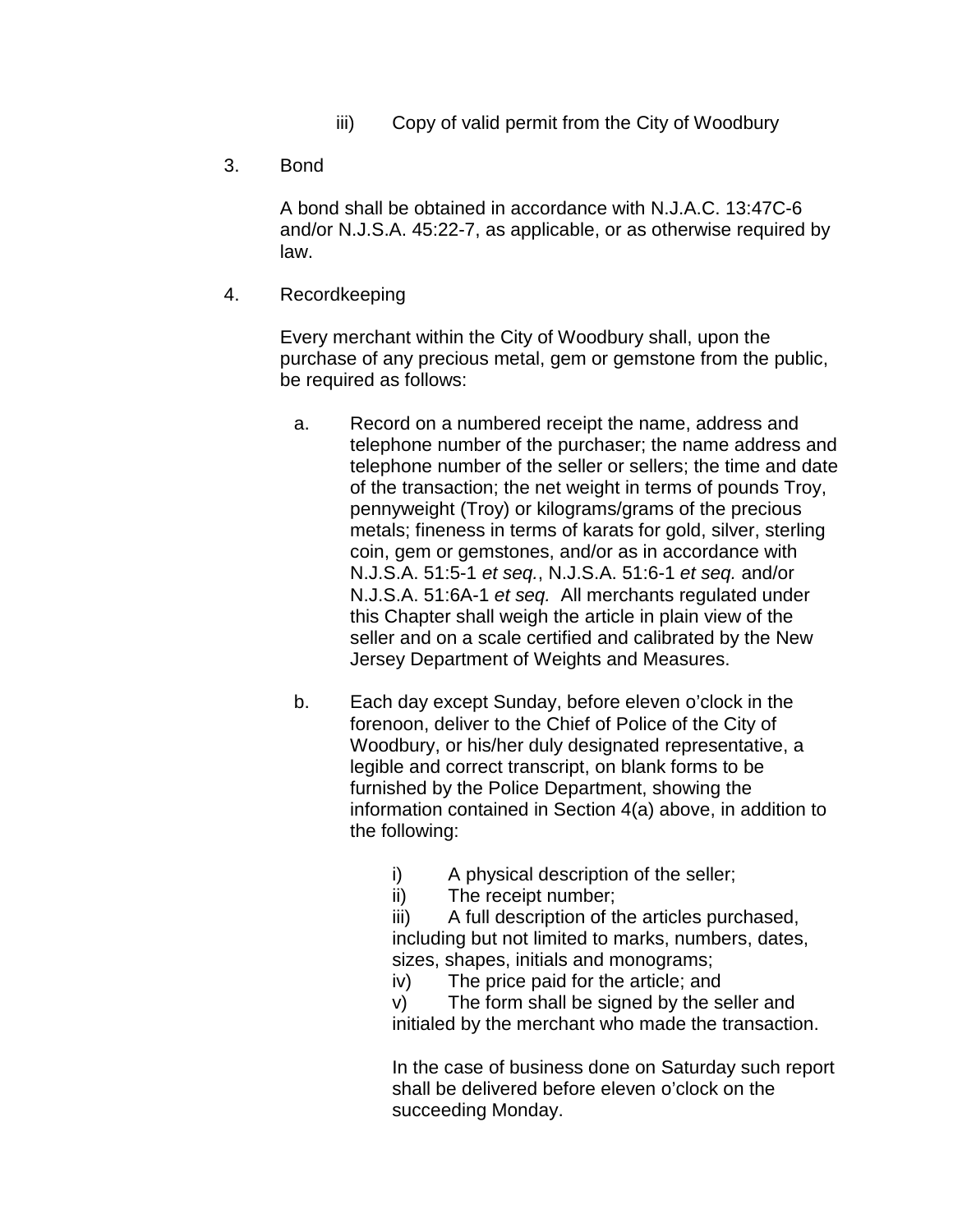- iii) Copy of valid permit from the City of Woodbury
- 3. Bond

A bond shall be obtained in accordance with N.J.A.C. 13:47C-6 and/or N.J.S.A. 45:22-7, as applicable, or as otherwise required by law.

4. Recordkeeping

Every merchant within the City of Woodbury shall, upon the purchase of any precious metal, gem or gemstone from the public, be required as follows:

- a. Record on a numbered receipt the name, address and telephone number of the purchaser; the name address and telephone number of the seller or sellers; the time and date of the transaction; the net weight in terms of pounds Troy, pennyweight (Troy) or kilograms/grams of the precious metals; fineness in terms of karats for gold, silver, sterling coin, gem or gemstones, and/or as in accordance with N.J.S.A. 51:5-1 *et seq.*, N.J.S.A. 51:6-1 *et seq.* and/or N.J.S.A. 51:6A-1 *et seq.* All merchants regulated under this Chapter shall weigh the article in plain view of the seller and on a scale certified and calibrated by the New Jersey Department of Weights and Measures.
- b. Each day except Sunday, before eleven o'clock in the forenoon, deliver to the Chief of Police of the City of Woodbury, or his/her duly designated representative, a legible and correct transcript, on blank forms to be furnished by the Police Department, showing the information contained in Section 4(a) above, in addition to the following:
	- i) A physical description of the seller;
	- ii) The receipt number;

iii) A full description of the articles purchased, including but not limited to marks, numbers, dates, sizes, shapes, initials and monograms;

iv) The price paid for the article; and

v) The form shall be signed by the seller and initialed by the merchant who made the transaction.

In the case of business done on Saturday such report shall be delivered before eleven o'clock on the succeeding Monday.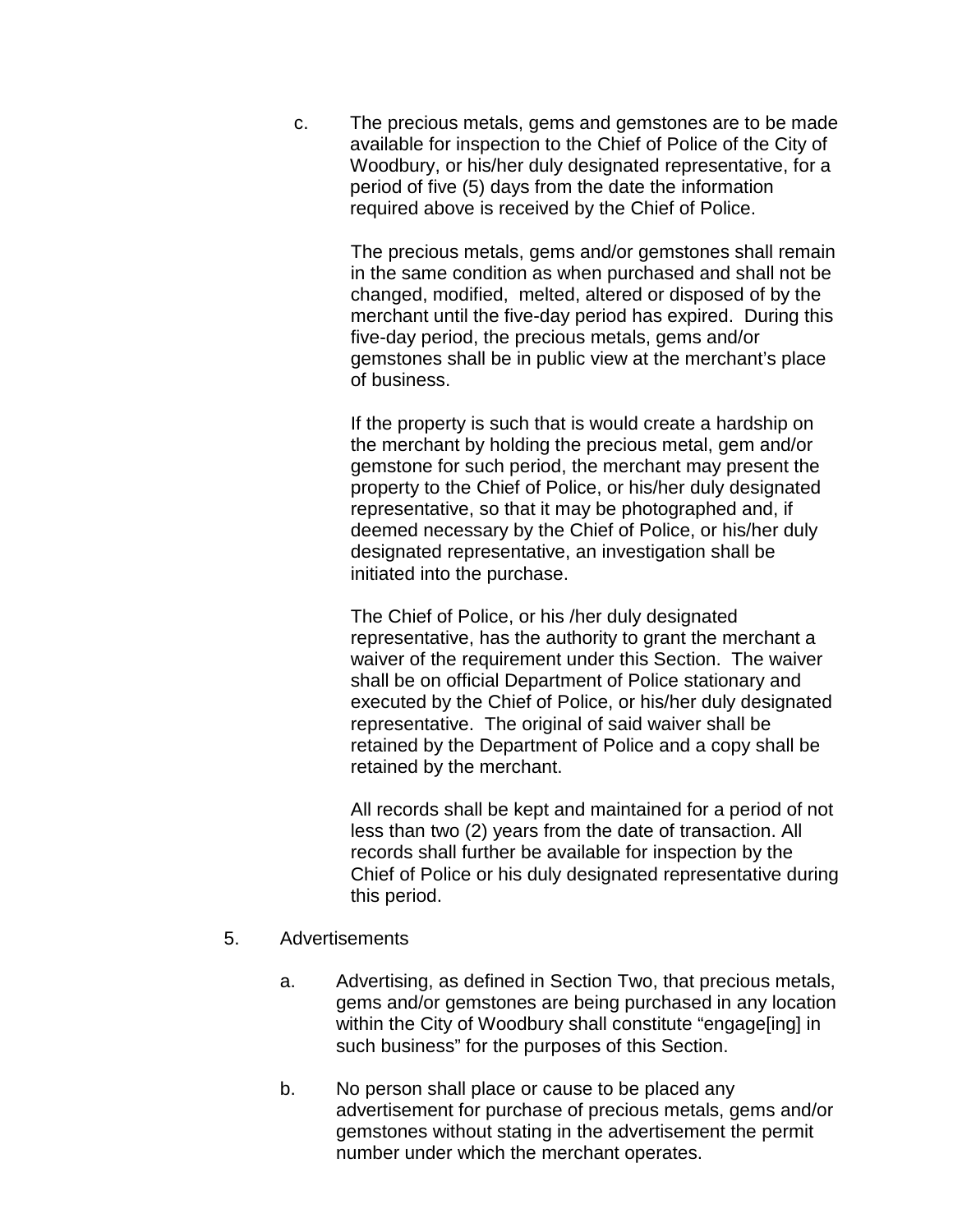c. The precious metals, gems and gemstones are to be made available for inspection to the Chief of Police of the City of Woodbury, or his/her duly designated representative, for a period of five (5) days from the date the information required above is received by the Chief of Police.

> The precious metals, gems and/or gemstones shall remain in the same condition as when purchased and shall not be changed, modified, melted, altered or disposed of by the merchant until the five-day period has expired. During this five-day period, the precious metals, gems and/or gemstones shall be in public view at the merchant's place of business.

If the property is such that is would create a hardship on the merchant by holding the precious metal, gem and/or gemstone for such period, the merchant may present the property to the Chief of Police, or his/her duly designated representative, so that it may be photographed and, if deemed necessary by the Chief of Police, or his/her duly designated representative, an investigation shall be initiated into the purchase.

The Chief of Police, or his /her duly designated representative, has the authority to grant the merchant a waiver of the requirement under this Section. The waiver shall be on official Department of Police stationary and executed by the Chief of Police, or his/her duly designated representative. The original of said waiver shall be retained by the Department of Police and a copy shall be retained by the merchant.

All records shall be kept and maintained for a period of not less than two (2) years from the date of transaction. All records shall further be available for inspection by the Chief of Police or his duly designated representative during this period.

- 5. Advertisements
	- a. Advertising, as defined in Section Two, that precious metals, gems and/or gemstones are being purchased in any location within the City of Woodbury shall constitute "engage[ing] in such business" for the purposes of this Section.
	- b. No person shall place or cause to be placed any advertisement for purchase of precious metals, gems and/or gemstones without stating in the advertisement the permit number under which the merchant operates.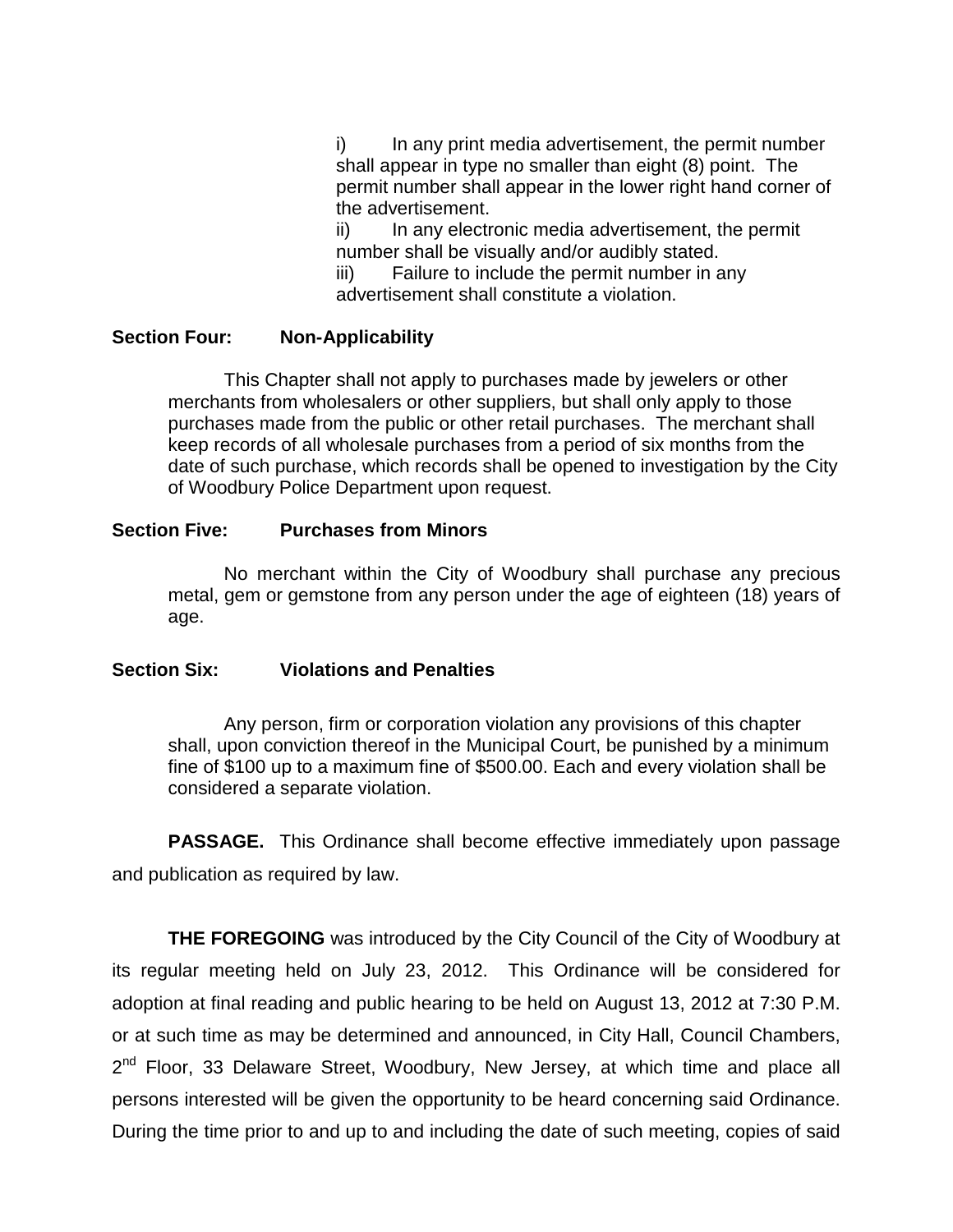i) In any print media advertisement, the permit number shall appear in type no smaller than eight (8) point. The permit number shall appear in the lower right hand corner of the advertisement.

ii) In any electronic media advertisement, the permit number shall be visually and/or audibly stated.

iii) Failure to include the permit number in any advertisement shall constitute a violation.

## **Section Four: Non-Applicability**

This Chapter shall not apply to purchases made by jewelers or other merchants from wholesalers or other suppliers, but shall only apply to those purchases made from the public or other retail purchases. The merchant shall keep records of all wholesale purchases from a period of six months from the date of such purchase, which records shall be opened to investigation by the City of Woodbury Police Department upon request.

## **Section Five: Purchases from Minors**

No merchant within the City of Woodbury shall purchase any precious metal, gem or gemstone from any person under the age of eighteen (18) years of age.

# **Section Six: Violations and Penalties**

Any person, firm or corporation violation any provisions of this chapter shall, upon conviction thereof in the Municipal Court, be punished by a minimum fine of \$100 up to a maximum fine of \$500.00. Each and every violation shall be considered a separate violation.

**PASSAGE.** This Ordinance shall become effective immediately upon passage and publication as required by law.

**THE FOREGOING** was introduced by the City Council of the City of Woodbury at its regular meeting held on July 23, 2012. This Ordinance will be considered for adoption at final reading and public hearing to be held on August 13, 2012 at 7:30 P.M. or at such time as may be determined and announced, in City Hall, Council Chambers,  $2<sup>nd</sup>$  Floor, 33 Delaware Street, Woodbury, New Jersey, at which time and place all persons interested will be given the opportunity to be heard concerning said Ordinance. During the time prior to and up to and including the date of such meeting, copies of said